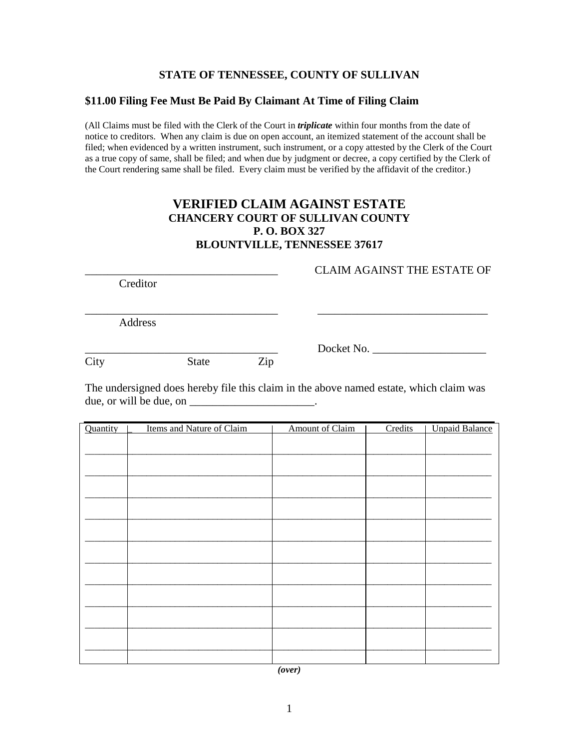## **STATE OF TENNESSEE, COUNTY OF SULLIVAN**

## **\$11.00 Filing Fee Must Be Paid By Claimant At Time of Filing Claim**

(All Claims must be filed with the Clerk of the Court in *triplicate* within four months from the date of notice to creditors. When any claim is due on open account, an itemized statement of the account shall be filed; when evidenced by a written instrument, such instrument, or a copy attested by the Clerk of the Court as a true copy of same, shall be filed; and when due by judgment or decree, a copy certified by the Clerk of the Court rendering same shall be filed. Every claim must be verified by the affidavit of the creditor.)

## **VERIFIED CLAIM AGAINST ESTATE CHANCERY COURT OF SULLIVAN COUNTY P. O. BOX 327 BLOUNTVILLE, TENNESSEE 37617**

Creditor

Address

City State Zip

\_\_\_\_\_\_\_\_\_\_\_\_\_\_\_\_\_\_\_\_\_\_\_\_\_\_\_\_\_\_\_\_\_\_ Docket No. \_\_\_\_\_\_\_\_\_\_\_\_\_\_\_\_\_\_\_\_

\_\_\_\_\_\_\_\_\_\_\_\_\_\_\_\_\_\_\_\_\_\_\_\_\_\_\_\_\_\_\_\_\_\_ CLAIM AGAINST THE ESTATE OF

The undersigned does hereby file this claim in the above named estate, which claim was due, or will be due, on  $\Box$ 

 $\frac{1}{2}$ 

\_\_\_\_\_\_\_\_\_\_\_\_\_\_\_\_\_\_\_\_\_\_\_\_\_\_\_\_\_\_\_\_\_\_ \_\_\_\_\_\_\_\_\_\_\_\_\_\_\_\_\_\_\_\_\_\_\_\_\_\_\_\_\_\_

| Quantity | Items and Nature of Claim | <b>Amount of Claim</b> | Credits | <b>Unpaid Balance</b> |
|----------|---------------------------|------------------------|---------|-----------------------|
|          |                           |                        |         |                       |
|          |                           |                        |         |                       |
|          |                           |                        |         |                       |
|          |                           |                        |         |                       |
|          |                           |                        |         |                       |
|          |                           |                        |         |                       |
|          |                           |                        |         |                       |
|          |                           |                        |         |                       |
|          |                           |                        |         |                       |
|          |                           |                        |         |                       |
|          |                           |                        |         |                       |
|          |                           |                        |         |                       |
|          |                           |                        |         |                       |
|          |                           |                        |         |                       |
|          |                           |                        |         |                       |
|          |                           |                        |         |                       |

*(over)*